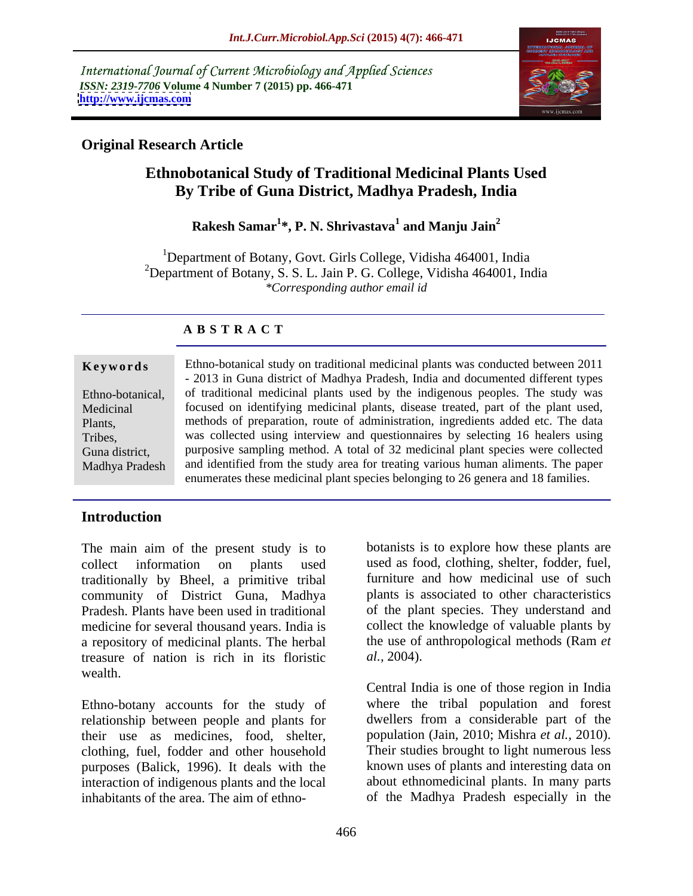International Journal of Current Microbiology and Applied Sciences *ISSN: 2319-7706* **Volume 4 Number 7 (2015) pp. 466-471 <http://www.ijcmas.com>**



### **Original Research Article**

# **Ethnobotanical Study of Traditional Medicinal Plants Used By Tribe of Guna District, Madhya Pradesh, India**

### **Rakesh Samar<sup>1</sup> \*, P. N. Shrivastava<sup>1</sup> and Manju Jain<sup>2</sup>**

<sup>1</sup>Department of Botany, Govt. Girls College, Vidisha 464001, India <sup>2</sup>Department of Botany, S. S. L. Jain P. G. College, Vidisha 464001, India *\*Corresponding author email id*

## **A B S T R A C T**

Madhya Pradesh

**Keywords** Ethno-botanical study on traditional medicinal plants was conducted between 2011 - 2013 in Guna district of Madhya Pradesh, India and documented different types Ethno-botanical, of traditional medicinal plants used by the indigenous peoples. The study was Medicinal focused on identifying medicinal plants, disease treated, part of the plant used, Plants, methods of preparation, route of administration, ingredients added etc. The data was collected using interview and questionnaires by selecting 16 healers using Tribes, Guna district, purposive sampling method. A total of 32 medicinal plant species were collected and identified from the study area for treating various human aliments. The paper enumerates these medicinal plant species belonging to 26 genera and 18 families.

### **Introduction**

collect information on plants used used as food, clothing, shelter, fodder, fuel, traditionally by Bheel, a primitive tribal community of District Guna, Madhya Pradesh. Plants have been used in traditional of the plant species. They understand and medicine for several thousand years. India is a repository of medicinal plants. The herbal treasure of nation is rich in its floristic al., 2004). wealth. The main aim of the present study is to botanists is to explore how these plants are collect information on plants used as food, clothing, sheler, fuel, traditionally by Bheel, a primitive tribal furniture and how medicin

Ethno-botany accounts for the study of relationship between people and plants for their use as medicines, food, shelter, clothing, fuel, fodder and other household purposes (Balick, 1996). It deals with the interaction of indigenous plants and the local

The main aim of the present study is to botanists is to explore how these plants are furniture and how medicinal use of such plants is associated to other characteristics collect the knowledge of valuable plants by the use of anthropological methods (Ram *et al.,* 2004).

> Central India is one of those region in India where the tribal population and forest dwellers from a considerable part of the population (Jain*,* 2010; Mishra *et al.,* 2010). Their studies brought to light numerous less known uses of plants and interesting data on about ethnomedicinal plants. In many parts of the Madhya Pradesh especially in the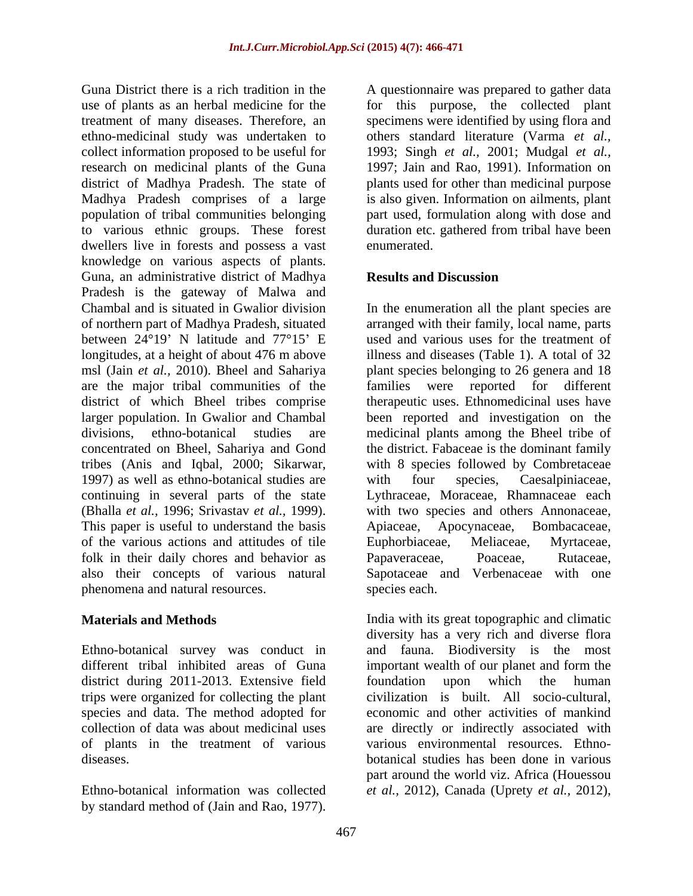Guna District there is a rich tradition in the A question aire was prepared to gather data use of plants as an herbal medicine for the for this purpose, the collected plant treatment of many diseases. Therefore, an specimens were identified by using flora and ethno-medicinal study was undertaken to collect information proposed to be useful for research on medicinal plants of the Guna 1997; Jain and Rao, 1991). Information on district of Madhya Pradesh. The state of plants used forother than medicinal purpose Madhya Pradesh comprises of a large is also given. Information on ailments, plant population of tribal communities belonging to various ethnic groups. These forest dwellers live in forests and possess a vast enumerated. knowledge on various aspects of plants. Guna, an administrative district of Madhya Pradesh is the gateway of Malwa and Chambal and is situated in Gwalior division In the enumeration all the plant species are of northern part of Madhya Pradesh, situated arranged with their family, local name, parts between 24°19' N latitude and 77°15' E longitudes, at a height of about 476 m above msl (Jain *et al.*, 2010). Bheel and Sahariya plant species belonging to 26 genera and 18 are the major tribal communities of the district of which Bheel tribes comprise therapeutic uses. Ethnomedicinal uses have larger population. In Gwalior and Chambal been reported and investigation on the divisions, ethno-botanical studies are medicinal plants among the Bheel tribe of concentrated on Bheel, Sahariya and Gond the district. Fabaceae is the dominant family tribes (Anis and Iqbal, 2000; Sikarwar, 1997) as well as ethno-botanical studies are with four species, Caesalpiniaceae, continuing in several parts of the state Lythraceae, Moraceae, Rhamnaceae each (Bhalla *et al.,* 1996; Srivastav *et al.,* 1999). with two species and others Annonaceae, This paper is useful to understand the basis Apiaceae, Apocynaceae, Bombacaceae, of the various actions and attitudes of tile folk in their daily chores and behavior as **Papaveraceae**, **Poaceae**, Rutaceae, also their concepts of various natural Sapotaceae and Verbenaceae with one phenomena and natural resources. Gran method of the standard method in the standard was peperario and the distribution in the standard method of the standard method of the standard method of the standard method of the standard method of the standard meth

Ethno-botanical survey was conduct in district during 2011-2013. Extensive field foundation upon which the human trips were organized for collecting the plant

others standard literature (Varma *et al.,* 1993; Singh *et al.,* 2001; Mudgal *et al.,* part used, formulation along with dose and duration etc. gathered from tribal have been enumerated.

### **Results and Discussion**

used and various uses for the treatment of illness and diseases (Table 1). A total of 32 families were reported for different with 8 species followed by Combretaceae with four species, Caesalpiniaceae, Apiaceae, Apocynaceae, Bombacaceae, Euphorbiaceae, Meliaceae, Myrtaceae, Papaveraceae, Poaceae, Rutaceae, species each.

**Materials and Methods Example 20 India with its great topographic and climatic** different tribal inhibited areas of Guna important wealth of our planet and form the species and data. The method adopted for economic and other activities of mankind collection of data was about medicinal uses are directly or indirectly associated with of plants in the treatment of various various environmental resources. Ethno diseases. botanical studies has been done in various Ethno-botanical information was collected *et al.,* 2012), Canada (Uprety *et al.,* 2012),diversity has a very rich and diverse flora Biodiversity is the most foundation upon which the human civilization is built. All socio-cultural, part around the world viz. Africa (Houessou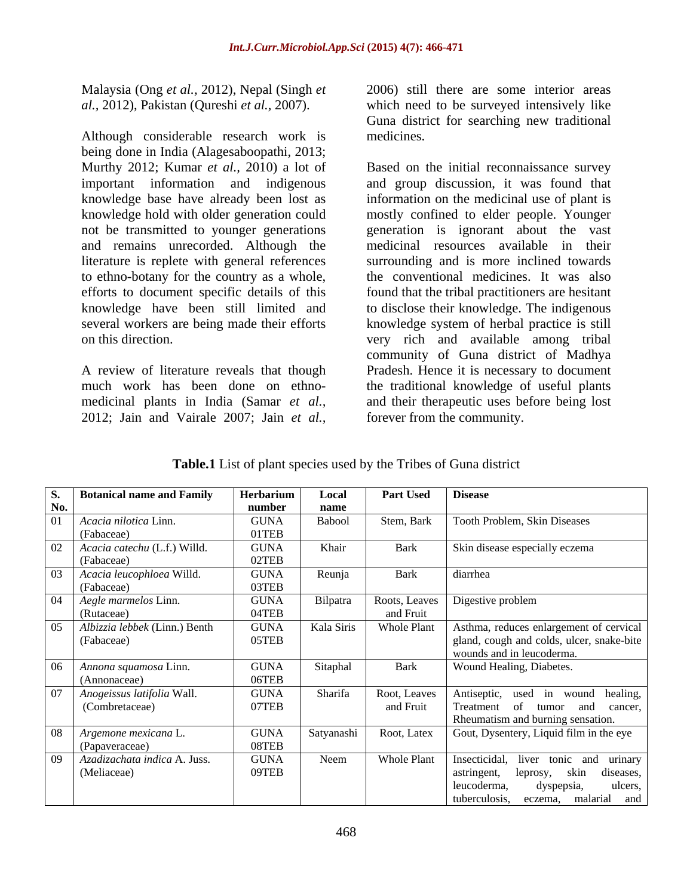Malaysia (Ong *et al.,* 2012), Nepal (Singh *et al.,* 2012), Pakistan (Qureshi *et al.,* 2007).

Although considerable research work is medicines. being done in India (Alagesaboopathi, 2013; not be transmitted to younger generations and remains unrecorded. Although the

which need to be surveyed intensively like Guna district for searching new traditional medicines.

Murthy 2012; Kumar *et al.,* 2010) a lot of Based on the initial reconnaissance survey important information and indigenous and group discussion, it was found that knowledge base have already been lost as information on the medicinal use of plant is knowledge hold with older generation could mostly confined to elder people. Younger literature is replete with general references surrounding and is more inclined towards to ethno-botany for the country as a whole, the conventional medicines. It was also efforts to document specific details of this found that the tribal practitioners are hesitant knowledge have been still limited and to disclose their knowledge. The indigenous several workers are being made their efforts knowledge system of herbal practice is still on this direction. The same of the very rich and available among tribal A review of literature reveals that though Pradesh. Hence it is necessary to document much work has been done on ethno- the traditional knowledge of useful plants medicinal plants in India (Samar *et al.,* and their therapeutic uses before being lost Malaysia (Ong *et al.*, 2012). Nepal (Singh *et*  $\frac{2006}{1000}$  still there are some interior areas *al.*, 2013). Pakistan (Qureshi *et al.*, 2007).<br>
Sum district for searching new traditional<br>
Although considerable rese generation is ignorant about the vast medicinal resources available in their community of Guna district of Madhya forever from the community.

**Table.1** List of plant species used by the Tribes of Guna district

|     | <b>Botanical name and Family</b>  | Herbarium   | Local      | <b>Part Used Disease</b> |                                           |
|-----|-----------------------------------|-------------|------------|--------------------------|-------------------------------------------|
| No. |                                   | number      | name       |                          |                                           |
|     | Acacia nilotica Linn.             | <b>GUNA</b> | Babool     | Stem, Bark               | Tooth Problem, Skin Diseases              |
|     | (Fabaceae)                        | 01TEB       |            |                          |                                           |
|     | Acacia catechu (L.f.) Willd.      | <b>GUNA</b> | Khair      | Bark                     | Skin disease especially eczema            |
|     | (Fabaceae)                        | 02TEB       |            |                          |                                           |
|     | Acacia leucophloea Willd.         | <b>GUNA</b> | Reunja     | Bark                     | diarrhea                                  |
|     | (Fabaceae)                        | 03TEB       |            |                          |                                           |
|     | 04   Aegle marmelos Linn.         | <b>GUNA</b> | Bilpatra   |                          | Roots, Leaves   Digestive problem         |
|     | (Rutaceae)                        | 04TEB       |            | and Fruit                |                                           |
|     | Albizzia lebbek (Linn.) Benth     | <b>GUNA</b> | Kala Siris | <b>Whole Plant</b>       | Asthma, reduces enlargement of cervical   |
|     | (Fabaceae)                        | 05TEB       |            |                          | gland, cough and colds, ulcer, snake-bite |
|     |                                   |             |            |                          | wounds and in leucoderma.                 |
|     | 06   Annona squamosa Linn.        | <b>GUNA</b> | Sitaphal   | Bark                     | Wound Healing, Diabetes.                  |
|     | (Annonaceae)                      | 06TEB       |            |                          |                                           |
|     | Anogeissus latifolia Wall.        | <b>GUNA</b> | Sharifa    | Root, Leaves             | Antiseptic, used in wound healing,        |
|     | (Combretaceae)                    | 07TEB       |            | and Fruit                | Treatment of tumor and cancer,            |
|     |                                   |             |            |                          | Rheumatism and burning sensation.         |
|     | 08   Argemone mexicana L.         | <b>GUNA</b> | Satyanashi | Root, Latex              | Gout, Dysentery, Liquid film in the eye   |
|     | (Papaveraceae)                    | 08TEB       |            |                          |                                           |
|     | 09   Azadizachata indica A. Juss. | <b>GUNA</b> | Neem       | <b>Whole Plant</b>       | Insecticidal, liver tonic and urinary     |
|     | (Meliaceae)                       | 09TEB       |            |                          | skin diseases,<br>leprosy,<br>astringent, |
|     |                                   |             |            |                          | ulcers,<br>dyspepsia,<br>leucoderma,      |
|     |                                   |             |            |                          | malarial<br>tuberculosis, eczema,<br>and  |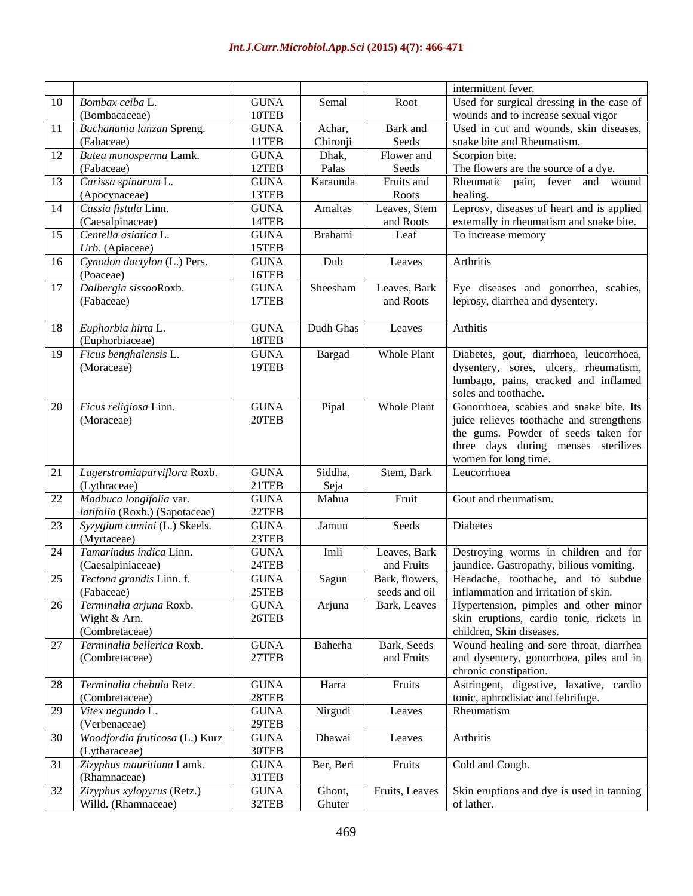| $\overline{10}$ Bombax ceiba L<br><b>GUNA</b><br>Semal<br>Root<br>10TEB<br>(Bombacaceae)<br>wounds and to increase sexual vigor<br><b>GUNA</b><br>Achar,<br>Buchanania lanzan Spreng.<br>Bark and<br>11TEB<br>Chironji<br>Seeds<br>snake bite and Rheumatism.<br>(Fabaceae)<br>Dhak,<br>GUNA<br>Flower and<br>Scorpion bite.<br>Palas<br>12TEB<br>The flowers are the source of a dye.<br>(Fabaceae)<br>Seeds<br><b>GUNA</b><br>Karaunda<br>Rheumatic pain, fever and wound<br>Fruits and<br>13TEB<br>healing<br>Roots<br>(Apocynaceae)<br><b>GUNA</b><br>Amaltas<br>Leprosy, diseases of heart and is applied<br>Leaves, Stem<br>14TEB<br>externally in rheumatism and snake bite.<br>(Caesalpinaceae)<br>and Roots<br><b>GUNA</b><br>Brahami<br>To increase memory<br>Leaf<br>15TEB<br>$Urb.$ (Apiaceae)<br><b>GUNA</b><br>Dub<br>Arthritis<br>Leaves<br>16TEB<br>(Poaceae)<br><b>GUNA</b><br>Sheesham<br>Leaves, Bark<br>Dalbergia sissooRoxb.<br>Eye diseases and gonorrhea, scabies,<br>17TEB<br>(Fabaceae)<br>leprosy, diarrhea and dysentery.<br>and Roots<br><b>GUNA</b><br>Dudh Ghas<br>Arthitis<br>Leaves<br>18TEB<br>(Euphorbiaceae)<br>Bargad<br><b>GUNA</b><br><b>Whole Plant</b><br>Diabetes, gout, diarrhoea, leucorrhoea,<br>Ficus benghalensis L.<br>19TEB<br>(Moraceae)<br>dysentery, sores, ulcers, rheumatism,<br>lumbago, pains, cracked and inflamed<br>soles and toothache.<br>Pipal<br><b>Whole Plant</b><br><b>GUNA</b><br>20TEB<br>(Moraceae)<br>women for long time.<br><b>GUNA</b><br>Siddha,<br>Stem, Bark<br>Leucorrhoea<br>21TEB<br>Seja<br>(Lythraceae)<br>Mahua<br><b>GUNA</b><br>Gout and rheumatism.<br>Fruit<br>22TEB<br>latifolia (Roxb.) (Sapotaceae)<br><b>GUNA</b><br>Jamun<br>Diabetes<br>Seeds<br>23TEB<br>(Myrtaceae)<br>Tamarindus indica Linn.<br>Leaves, Bark   Destroying worms in children and for<br><b>GUNA</b><br>Imli<br>24TEB<br>jaundice. Gastropathy, bilious vomiting.<br>(Caesalpiniaceae)<br>and Fruits<br>Bark, flowers, Headache, toothache, and to subdue<br><b>GUNA</b><br>Sagun<br>25TEB<br>seeds and oil   inflammation and irritation of skin.<br>(Fabaceae)<br>Bark, Leaves   Hypertension, pimples and other minor<br><b>GUNA</b><br>Arjuna<br>26TEB<br>Wight & Arn.<br>children, Skin diseases.<br>(Combretaceae)<br>Baherha<br>Terminalia bellerica Roxb.<br><b>GUNA</b><br>Bark, Seeds<br>27TEB<br>(Combretaceae)<br>and Fruits<br>chronic constipation.<br><b>GUNA</b><br>Harra<br>Fruits<br>28TEB<br>tonic, aphrodisiac and febrifuge.<br>(Combretaceae)<br>Nirgudi<br><b>GUNA</b><br>Rheumatism<br>Leaves<br>29TEB<br>(Verbenaceae)<br><b>GUNA</b><br>Dhawai<br>Arthritis<br>Leaves<br>30TEB<br>(Lytharaceae)<br><b>GUNA</b><br>Ber, Beri<br>Cold and Cough.<br>Fruits<br>31TEB<br>(Rhamnaceae)<br>Fruits, Leaves   Skin eruptions and dye is used in tanning<br><b>GUNA</b><br>Ghont,<br>Willd. (Rhamnaceae)<br>32TEB<br>Ghuter<br>of lather. |  |  | intermittent fever.                       |
|-------------------------------------------------------------------------------------------------------------------------------------------------------------------------------------------------------------------------------------------------------------------------------------------------------------------------------------------------------------------------------------------------------------------------------------------------------------------------------------------------------------------------------------------------------------------------------------------------------------------------------------------------------------------------------------------------------------------------------------------------------------------------------------------------------------------------------------------------------------------------------------------------------------------------------------------------------------------------------------------------------------------------------------------------------------------------------------------------------------------------------------------------------------------------------------------------------------------------------------------------------------------------------------------------------------------------------------------------------------------------------------------------------------------------------------------------------------------------------------------------------------------------------------------------------------------------------------------------------------------------------------------------------------------------------------------------------------------------------------------------------------------------------------------------------------------------------------------------------------------------------------------------------------------------------------------------------------------------------------------------------------------------------------------------------------------------------------------------------------------------------------------------------------------------------------------------------------------------------------------------------------------------------------------------------------------------------------------------------------------------------------------------------------------------------------------------------------------------------------------------------------------------------------------------------------------------------------------------------------------------------------------------------------------------------------------------------------------------------------------------------------------------------------------------------------------------------------------------------------------------------------------------------------------------|--|--|-------------------------------------------|
| 12   Butea monosperma Lamk.<br>3 Carissa spinarum L.<br>14   Cassia fistula Linn.<br>15 Centella asiatica L.<br>16 Cynodon dactylon (L.) Pers.<br>$18$ Euphorbia hirta L.<br>$20$ Ficus religiosa Linn.<br>22 Madhuca longifolia var.<br>23   Syzygium cumini (L.) Skeels.<br>25   Tectona grandis Linn. f.<br>6 Terminalia arjuna Roxb.<br>28 Terminalia chebula Retz.<br>29 Vitex negundo L.<br>30 Woodfordia fruticosa (L.) Kurz<br>32 Zizyphus xylopyrus (Retz.)                                                                                                                                                                                                                                                                                                                                                                                                                                                                                                                                                                                                                                                                                                                                                                                                                                                                                                                                                                                                                                                                                                                                                                                                                                                                                                                                                                                                                                                                                                                                                                                                                                                                                                                                                                                                                                                                                                                                                                                                                                                                                                                                                                                                                                                                                                                                                                                                                                                    |  |  | Used for surgical dressing in the case of |
| $\vert$ 21 Lagerstromiaparviflora Roxb.<br>31 Zizyphus mauritiana Lamk.                                                                                                                                                                                                                                                                                                                                                                                                                                                                                                                                                                                                                                                                                                                                                                                                                                                                                                                                                                                                                                                                                                                                                                                                                                                                                                                                                                                                                                                                                                                                                                                                                                                                                                                                                                                                                                                                                                                                                                                                                                                                                                                                                                                                                                                                                                                                                                                                                                                                                                                                                                                                                                                                                                                                                                                                                                                 |  |  |                                           |
|                                                                                                                                                                                                                                                                                                                                                                                                                                                                                                                                                                                                                                                                                                                                                                                                                                                                                                                                                                                                                                                                                                                                                                                                                                                                                                                                                                                                                                                                                                                                                                                                                                                                                                                                                                                                                                                                                                                                                                                                                                                                                                                                                                                                                                                                                                                                                                                                                                                                                                                                                                                                                                                                                                                                                                                                                                                                                                                         |  |  | Used in cut and wounds, skin diseases,    |
|                                                                                                                                                                                                                                                                                                                                                                                                                                                                                                                                                                                                                                                                                                                                                                                                                                                                                                                                                                                                                                                                                                                                                                                                                                                                                                                                                                                                                                                                                                                                                                                                                                                                                                                                                                                                                                                                                                                                                                                                                                                                                                                                                                                                                                                                                                                                                                                                                                                                                                                                                                                                                                                                                                                                                                                                                                                                                                                         |  |  |                                           |
|                                                                                                                                                                                                                                                                                                                                                                                                                                                                                                                                                                                                                                                                                                                                                                                                                                                                                                                                                                                                                                                                                                                                                                                                                                                                                                                                                                                                                                                                                                                                                                                                                                                                                                                                                                                                                                                                                                                                                                                                                                                                                                                                                                                                                                                                                                                                                                                                                                                                                                                                                                                                                                                                                                                                                                                                                                                                                                                         |  |  |                                           |
|                                                                                                                                                                                                                                                                                                                                                                                                                                                                                                                                                                                                                                                                                                                                                                                                                                                                                                                                                                                                                                                                                                                                                                                                                                                                                                                                                                                                                                                                                                                                                                                                                                                                                                                                                                                                                                                                                                                                                                                                                                                                                                                                                                                                                                                                                                                                                                                                                                                                                                                                                                                                                                                                                                                                                                                                                                                                                                                         |  |  |                                           |
|                                                                                                                                                                                                                                                                                                                                                                                                                                                                                                                                                                                                                                                                                                                                                                                                                                                                                                                                                                                                                                                                                                                                                                                                                                                                                                                                                                                                                                                                                                                                                                                                                                                                                                                                                                                                                                                                                                                                                                                                                                                                                                                                                                                                                                                                                                                                                                                                                                                                                                                                                                                                                                                                                                                                                                                                                                                                                                                         |  |  |                                           |
|                                                                                                                                                                                                                                                                                                                                                                                                                                                                                                                                                                                                                                                                                                                                                                                                                                                                                                                                                                                                                                                                                                                                                                                                                                                                                                                                                                                                                                                                                                                                                                                                                                                                                                                                                                                                                                                                                                                                                                                                                                                                                                                                                                                                                                                                                                                                                                                                                                                                                                                                                                                                                                                                                                                                                                                                                                                                                                                         |  |  |                                           |
|                                                                                                                                                                                                                                                                                                                                                                                                                                                                                                                                                                                                                                                                                                                                                                                                                                                                                                                                                                                                                                                                                                                                                                                                                                                                                                                                                                                                                                                                                                                                                                                                                                                                                                                                                                                                                                                                                                                                                                                                                                                                                                                                                                                                                                                                                                                                                                                                                                                                                                                                                                                                                                                                                                                                                                                                                                                                                                                         |  |  |                                           |
|                                                                                                                                                                                                                                                                                                                                                                                                                                                                                                                                                                                                                                                                                                                                                                                                                                                                                                                                                                                                                                                                                                                                                                                                                                                                                                                                                                                                                                                                                                                                                                                                                                                                                                                                                                                                                                                                                                                                                                                                                                                                                                                                                                                                                                                                                                                                                                                                                                                                                                                                                                                                                                                                                                                                                                                                                                                                                                                         |  |  |                                           |
|                                                                                                                                                                                                                                                                                                                                                                                                                                                                                                                                                                                                                                                                                                                                                                                                                                                                                                                                                                                                                                                                                                                                                                                                                                                                                                                                                                                                                                                                                                                                                                                                                                                                                                                                                                                                                                                                                                                                                                                                                                                                                                                                                                                                                                                                                                                                                                                                                                                                                                                                                                                                                                                                                                                                                                                                                                                                                                                         |  |  |                                           |
|                                                                                                                                                                                                                                                                                                                                                                                                                                                                                                                                                                                                                                                                                                                                                                                                                                                                                                                                                                                                                                                                                                                                                                                                                                                                                                                                                                                                                                                                                                                                                                                                                                                                                                                                                                                                                                                                                                                                                                                                                                                                                                                                                                                                                                                                                                                                                                                                                                                                                                                                                                                                                                                                                                                                                                                                                                                                                                                         |  |  |                                           |
|                                                                                                                                                                                                                                                                                                                                                                                                                                                                                                                                                                                                                                                                                                                                                                                                                                                                                                                                                                                                                                                                                                                                                                                                                                                                                                                                                                                                                                                                                                                                                                                                                                                                                                                                                                                                                                                                                                                                                                                                                                                                                                                                                                                                                                                                                                                                                                                                                                                                                                                                                                                                                                                                                                                                                                                                                                                                                                                         |  |  |                                           |
|                                                                                                                                                                                                                                                                                                                                                                                                                                                                                                                                                                                                                                                                                                                                                                                                                                                                                                                                                                                                                                                                                                                                                                                                                                                                                                                                                                                                                                                                                                                                                                                                                                                                                                                                                                                                                                                                                                                                                                                                                                                                                                                                                                                                                                                                                                                                                                                                                                                                                                                                                                                                                                                                                                                                                                                                                                                                                                                         |  |  |                                           |
|                                                                                                                                                                                                                                                                                                                                                                                                                                                                                                                                                                                                                                                                                                                                                                                                                                                                                                                                                                                                                                                                                                                                                                                                                                                                                                                                                                                                                                                                                                                                                                                                                                                                                                                                                                                                                                                                                                                                                                                                                                                                                                                                                                                                                                                                                                                                                                                                                                                                                                                                                                                                                                                                                                                                                                                                                                                                                                                         |  |  |                                           |
|                                                                                                                                                                                                                                                                                                                                                                                                                                                                                                                                                                                                                                                                                                                                                                                                                                                                                                                                                                                                                                                                                                                                                                                                                                                                                                                                                                                                                                                                                                                                                                                                                                                                                                                                                                                                                                                                                                                                                                                                                                                                                                                                                                                                                                                                                                                                                                                                                                                                                                                                                                                                                                                                                                                                                                                                                                                                                                                         |  |  |                                           |
|                                                                                                                                                                                                                                                                                                                                                                                                                                                                                                                                                                                                                                                                                                                                                                                                                                                                                                                                                                                                                                                                                                                                                                                                                                                                                                                                                                                                                                                                                                                                                                                                                                                                                                                                                                                                                                                                                                                                                                                                                                                                                                                                                                                                                                                                                                                                                                                                                                                                                                                                                                                                                                                                                                                                                                                                                                                                                                                         |  |  |                                           |
|                                                                                                                                                                                                                                                                                                                                                                                                                                                                                                                                                                                                                                                                                                                                                                                                                                                                                                                                                                                                                                                                                                                                                                                                                                                                                                                                                                                                                                                                                                                                                                                                                                                                                                                                                                                                                                                                                                                                                                                                                                                                                                                                                                                                                                                                                                                                                                                                                                                                                                                                                                                                                                                                                                                                                                                                                                                                                                                         |  |  |                                           |
|                                                                                                                                                                                                                                                                                                                                                                                                                                                                                                                                                                                                                                                                                                                                                                                                                                                                                                                                                                                                                                                                                                                                                                                                                                                                                                                                                                                                                                                                                                                                                                                                                                                                                                                                                                                                                                                                                                                                                                                                                                                                                                                                                                                                                                                                                                                                                                                                                                                                                                                                                                                                                                                                                                                                                                                                                                                                                                                         |  |  |                                           |
|                                                                                                                                                                                                                                                                                                                                                                                                                                                                                                                                                                                                                                                                                                                                                                                                                                                                                                                                                                                                                                                                                                                                                                                                                                                                                                                                                                                                                                                                                                                                                                                                                                                                                                                                                                                                                                                                                                                                                                                                                                                                                                                                                                                                                                                                                                                                                                                                                                                                                                                                                                                                                                                                                                                                                                                                                                                                                                                         |  |  |                                           |
|                                                                                                                                                                                                                                                                                                                                                                                                                                                                                                                                                                                                                                                                                                                                                                                                                                                                                                                                                                                                                                                                                                                                                                                                                                                                                                                                                                                                                                                                                                                                                                                                                                                                                                                                                                                                                                                                                                                                                                                                                                                                                                                                                                                                                                                                                                                                                                                                                                                                                                                                                                                                                                                                                                                                                                                                                                                                                                                         |  |  |                                           |
|                                                                                                                                                                                                                                                                                                                                                                                                                                                                                                                                                                                                                                                                                                                                                                                                                                                                                                                                                                                                                                                                                                                                                                                                                                                                                                                                                                                                                                                                                                                                                                                                                                                                                                                                                                                                                                                                                                                                                                                                                                                                                                                                                                                                                                                                                                                                                                                                                                                                                                                                                                                                                                                                                                                                                                                                                                                                                                                         |  |  |                                           |
|                                                                                                                                                                                                                                                                                                                                                                                                                                                                                                                                                                                                                                                                                                                                                                                                                                                                                                                                                                                                                                                                                                                                                                                                                                                                                                                                                                                                                                                                                                                                                                                                                                                                                                                                                                                                                                                                                                                                                                                                                                                                                                                                                                                                                                                                                                                                                                                                                                                                                                                                                                                                                                                                                                                                                                                                                                                                                                                         |  |  | Gonorrhoea, scabies and snake bite. Its   |
|                                                                                                                                                                                                                                                                                                                                                                                                                                                                                                                                                                                                                                                                                                                                                                                                                                                                                                                                                                                                                                                                                                                                                                                                                                                                                                                                                                                                                                                                                                                                                                                                                                                                                                                                                                                                                                                                                                                                                                                                                                                                                                                                                                                                                                                                                                                                                                                                                                                                                                                                                                                                                                                                                                                                                                                                                                                                                                                         |  |  | juice relieves toothache and strengthens  |
|                                                                                                                                                                                                                                                                                                                                                                                                                                                                                                                                                                                                                                                                                                                                                                                                                                                                                                                                                                                                                                                                                                                                                                                                                                                                                                                                                                                                                                                                                                                                                                                                                                                                                                                                                                                                                                                                                                                                                                                                                                                                                                                                                                                                                                                                                                                                                                                                                                                                                                                                                                                                                                                                                                                                                                                                                                                                                                                         |  |  | the gums. Powder of seeds taken for       |
|                                                                                                                                                                                                                                                                                                                                                                                                                                                                                                                                                                                                                                                                                                                                                                                                                                                                                                                                                                                                                                                                                                                                                                                                                                                                                                                                                                                                                                                                                                                                                                                                                                                                                                                                                                                                                                                                                                                                                                                                                                                                                                                                                                                                                                                                                                                                                                                                                                                                                                                                                                                                                                                                                                                                                                                                                                                                                                                         |  |  | three days during menses sterilizes       |
|                                                                                                                                                                                                                                                                                                                                                                                                                                                                                                                                                                                                                                                                                                                                                                                                                                                                                                                                                                                                                                                                                                                                                                                                                                                                                                                                                                                                                                                                                                                                                                                                                                                                                                                                                                                                                                                                                                                                                                                                                                                                                                                                                                                                                                                                                                                                                                                                                                                                                                                                                                                                                                                                                                                                                                                                                                                                                                                         |  |  |                                           |
|                                                                                                                                                                                                                                                                                                                                                                                                                                                                                                                                                                                                                                                                                                                                                                                                                                                                                                                                                                                                                                                                                                                                                                                                                                                                                                                                                                                                                                                                                                                                                                                                                                                                                                                                                                                                                                                                                                                                                                                                                                                                                                                                                                                                                                                                                                                                                                                                                                                                                                                                                                                                                                                                                                                                                                                                                                                                                                                         |  |  |                                           |
|                                                                                                                                                                                                                                                                                                                                                                                                                                                                                                                                                                                                                                                                                                                                                                                                                                                                                                                                                                                                                                                                                                                                                                                                                                                                                                                                                                                                                                                                                                                                                                                                                                                                                                                                                                                                                                                                                                                                                                                                                                                                                                                                                                                                                                                                                                                                                                                                                                                                                                                                                                                                                                                                                                                                                                                                                                                                                                                         |  |  |                                           |
|                                                                                                                                                                                                                                                                                                                                                                                                                                                                                                                                                                                                                                                                                                                                                                                                                                                                                                                                                                                                                                                                                                                                                                                                                                                                                                                                                                                                                                                                                                                                                                                                                                                                                                                                                                                                                                                                                                                                                                                                                                                                                                                                                                                                                                                                                                                                                                                                                                                                                                                                                                                                                                                                                                                                                                                                                                                                                                                         |  |  |                                           |
|                                                                                                                                                                                                                                                                                                                                                                                                                                                                                                                                                                                                                                                                                                                                                                                                                                                                                                                                                                                                                                                                                                                                                                                                                                                                                                                                                                                                                                                                                                                                                                                                                                                                                                                                                                                                                                                                                                                                                                                                                                                                                                                                                                                                                                                                                                                                                                                                                                                                                                                                                                                                                                                                                                                                                                                                                                                                                                                         |  |  |                                           |
|                                                                                                                                                                                                                                                                                                                                                                                                                                                                                                                                                                                                                                                                                                                                                                                                                                                                                                                                                                                                                                                                                                                                                                                                                                                                                                                                                                                                                                                                                                                                                                                                                                                                                                                                                                                                                                                                                                                                                                                                                                                                                                                                                                                                                                                                                                                                                                                                                                                                                                                                                                                                                                                                                                                                                                                                                                                                                                                         |  |  |                                           |
|                                                                                                                                                                                                                                                                                                                                                                                                                                                                                                                                                                                                                                                                                                                                                                                                                                                                                                                                                                                                                                                                                                                                                                                                                                                                                                                                                                                                                                                                                                                                                                                                                                                                                                                                                                                                                                                                                                                                                                                                                                                                                                                                                                                                                                                                                                                                                                                                                                                                                                                                                                                                                                                                                                                                                                                                                                                                                                                         |  |  |                                           |
|                                                                                                                                                                                                                                                                                                                                                                                                                                                                                                                                                                                                                                                                                                                                                                                                                                                                                                                                                                                                                                                                                                                                                                                                                                                                                                                                                                                                                                                                                                                                                                                                                                                                                                                                                                                                                                                                                                                                                                                                                                                                                                                                                                                                                                                                                                                                                                                                                                                                                                                                                                                                                                                                                                                                                                                                                                                                                                                         |  |  |                                           |
|                                                                                                                                                                                                                                                                                                                                                                                                                                                                                                                                                                                                                                                                                                                                                                                                                                                                                                                                                                                                                                                                                                                                                                                                                                                                                                                                                                                                                                                                                                                                                                                                                                                                                                                                                                                                                                                                                                                                                                                                                                                                                                                                                                                                                                                                                                                                                                                                                                                                                                                                                                                                                                                                                                                                                                                                                                                                                                                         |  |  |                                           |
|                                                                                                                                                                                                                                                                                                                                                                                                                                                                                                                                                                                                                                                                                                                                                                                                                                                                                                                                                                                                                                                                                                                                                                                                                                                                                                                                                                                                                                                                                                                                                                                                                                                                                                                                                                                                                                                                                                                                                                                                                                                                                                                                                                                                                                                                                                                                                                                                                                                                                                                                                                                                                                                                                                                                                                                                                                                                                                                         |  |  |                                           |
|                                                                                                                                                                                                                                                                                                                                                                                                                                                                                                                                                                                                                                                                                                                                                                                                                                                                                                                                                                                                                                                                                                                                                                                                                                                                                                                                                                                                                                                                                                                                                                                                                                                                                                                                                                                                                                                                                                                                                                                                                                                                                                                                                                                                                                                                                                                                                                                                                                                                                                                                                                                                                                                                                                                                                                                                                                                                                                                         |  |  |                                           |
|                                                                                                                                                                                                                                                                                                                                                                                                                                                                                                                                                                                                                                                                                                                                                                                                                                                                                                                                                                                                                                                                                                                                                                                                                                                                                                                                                                                                                                                                                                                                                                                                                                                                                                                                                                                                                                                                                                                                                                                                                                                                                                                                                                                                                                                                                                                                                                                                                                                                                                                                                                                                                                                                                                                                                                                                                                                                                                                         |  |  |                                           |
|                                                                                                                                                                                                                                                                                                                                                                                                                                                                                                                                                                                                                                                                                                                                                                                                                                                                                                                                                                                                                                                                                                                                                                                                                                                                                                                                                                                                                                                                                                                                                                                                                                                                                                                                                                                                                                                                                                                                                                                                                                                                                                                                                                                                                                                                                                                                                                                                                                                                                                                                                                                                                                                                                                                                                                                                                                                                                                                         |  |  |                                           |
|                                                                                                                                                                                                                                                                                                                                                                                                                                                                                                                                                                                                                                                                                                                                                                                                                                                                                                                                                                                                                                                                                                                                                                                                                                                                                                                                                                                                                                                                                                                                                                                                                                                                                                                                                                                                                                                                                                                                                                                                                                                                                                                                                                                                                                                                                                                                                                                                                                                                                                                                                                                                                                                                                                                                                                                                                                                                                                                         |  |  | skin eruptions, cardio tonic, rickets in  |
|                                                                                                                                                                                                                                                                                                                                                                                                                                                                                                                                                                                                                                                                                                                                                                                                                                                                                                                                                                                                                                                                                                                                                                                                                                                                                                                                                                                                                                                                                                                                                                                                                                                                                                                                                                                                                                                                                                                                                                                                                                                                                                                                                                                                                                                                                                                                                                                                                                                                                                                                                                                                                                                                                                                                                                                                                                                                                                                         |  |  |                                           |
|                                                                                                                                                                                                                                                                                                                                                                                                                                                                                                                                                                                                                                                                                                                                                                                                                                                                                                                                                                                                                                                                                                                                                                                                                                                                                                                                                                                                                                                                                                                                                                                                                                                                                                                                                                                                                                                                                                                                                                                                                                                                                                                                                                                                                                                                                                                                                                                                                                                                                                                                                                                                                                                                                                                                                                                                                                                                                                                         |  |  | Wound healing and sore throat, diarrhea   |
|                                                                                                                                                                                                                                                                                                                                                                                                                                                                                                                                                                                                                                                                                                                                                                                                                                                                                                                                                                                                                                                                                                                                                                                                                                                                                                                                                                                                                                                                                                                                                                                                                                                                                                                                                                                                                                                                                                                                                                                                                                                                                                                                                                                                                                                                                                                                                                                                                                                                                                                                                                                                                                                                                                                                                                                                                                                                                                                         |  |  | and dysentery, gonorrhoea, piles and in   |
|                                                                                                                                                                                                                                                                                                                                                                                                                                                                                                                                                                                                                                                                                                                                                                                                                                                                                                                                                                                                                                                                                                                                                                                                                                                                                                                                                                                                                                                                                                                                                                                                                                                                                                                                                                                                                                                                                                                                                                                                                                                                                                                                                                                                                                                                                                                                                                                                                                                                                                                                                                                                                                                                                                                                                                                                                                                                                                                         |  |  |                                           |
|                                                                                                                                                                                                                                                                                                                                                                                                                                                                                                                                                                                                                                                                                                                                                                                                                                                                                                                                                                                                                                                                                                                                                                                                                                                                                                                                                                                                                                                                                                                                                                                                                                                                                                                                                                                                                                                                                                                                                                                                                                                                                                                                                                                                                                                                                                                                                                                                                                                                                                                                                                                                                                                                                                                                                                                                                                                                                                                         |  |  | Astringent, digestive, laxative, cardio   |
|                                                                                                                                                                                                                                                                                                                                                                                                                                                                                                                                                                                                                                                                                                                                                                                                                                                                                                                                                                                                                                                                                                                                                                                                                                                                                                                                                                                                                                                                                                                                                                                                                                                                                                                                                                                                                                                                                                                                                                                                                                                                                                                                                                                                                                                                                                                                                                                                                                                                                                                                                                                                                                                                                                                                                                                                                                                                                                                         |  |  |                                           |
|                                                                                                                                                                                                                                                                                                                                                                                                                                                                                                                                                                                                                                                                                                                                                                                                                                                                                                                                                                                                                                                                                                                                                                                                                                                                                                                                                                                                                                                                                                                                                                                                                                                                                                                                                                                                                                                                                                                                                                                                                                                                                                                                                                                                                                                                                                                                                                                                                                                                                                                                                                                                                                                                                                                                                                                                                                                                                                                         |  |  |                                           |
|                                                                                                                                                                                                                                                                                                                                                                                                                                                                                                                                                                                                                                                                                                                                                                                                                                                                                                                                                                                                                                                                                                                                                                                                                                                                                                                                                                                                                                                                                                                                                                                                                                                                                                                                                                                                                                                                                                                                                                                                                                                                                                                                                                                                                                                                                                                                                                                                                                                                                                                                                                                                                                                                                                                                                                                                                                                                                                                         |  |  |                                           |
|                                                                                                                                                                                                                                                                                                                                                                                                                                                                                                                                                                                                                                                                                                                                                                                                                                                                                                                                                                                                                                                                                                                                                                                                                                                                                                                                                                                                                                                                                                                                                                                                                                                                                                                                                                                                                                                                                                                                                                                                                                                                                                                                                                                                                                                                                                                                                                                                                                                                                                                                                                                                                                                                                                                                                                                                                                                                                                                         |  |  |                                           |
|                                                                                                                                                                                                                                                                                                                                                                                                                                                                                                                                                                                                                                                                                                                                                                                                                                                                                                                                                                                                                                                                                                                                                                                                                                                                                                                                                                                                                                                                                                                                                                                                                                                                                                                                                                                                                                                                                                                                                                                                                                                                                                                                                                                                                                                                                                                                                                                                                                                                                                                                                                                                                                                                                                                                                                                                                                                                                                                         |  |  |                                           |
|                                                                                                                                                                                                                                                                                                                                                                                                                                                                                                                                                                                                                                                                                                                                                                                                                                                                                                                                                                                                                                                                                                                                                                                                                                                                                                                                                                                                                                                                                                                                                                                                                                                                                                                                                                                                                                                                                                                                                                                                                                                                                                                                                                                                                                                                                                                                                                                                                                                                                                                                                                                                                                                                                                                                                                                                                                                                                                                         |  |  |                                           |
|                                                                                                                                                                                                                                                                                                                                                                                                                                                                                                                                                                                                                                                                                                                                                                                                                                                                                                                                                                                                                                                                                                                                                                                                                                                                                                                                                                                                                                                                                                                                                                                                                                                                                                                                                                                                                                                                                                                                                                                                                                                                                                                                                                                                                                                                                                                                                                                                                                                                                                                                                                                                                                                                                                                                                                                                                                                                                                                         |  |  |                                           |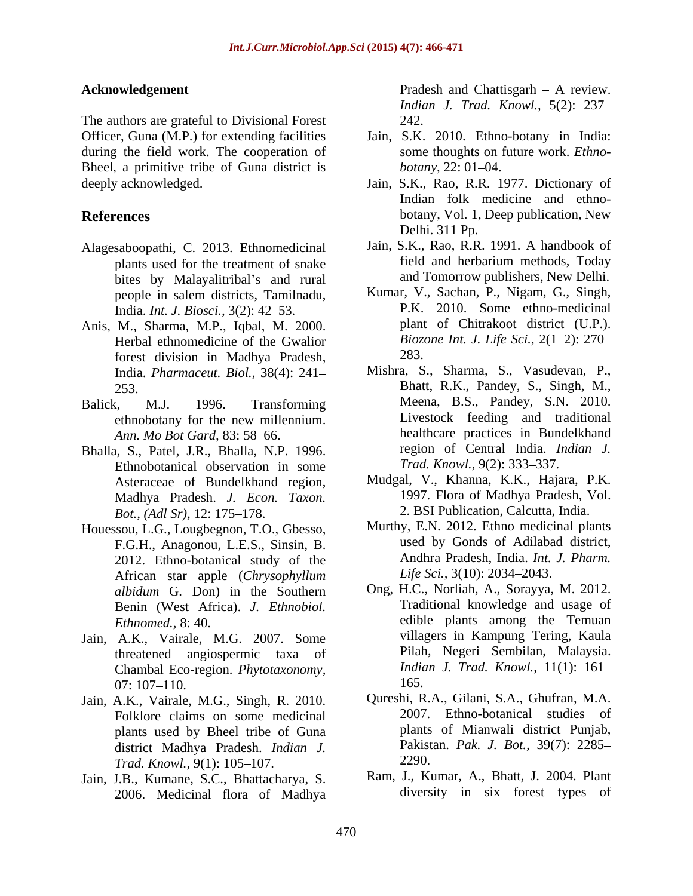The authors are grateful to Divisional Forest 242. during the field work. The cooperation of Bheel, a primitive tribe of Guna district is *botany*, 22: 01–04. deeply acknowledged. Jain, S.K., Rao, R.R. 1977. Dictionary of

- Alagesaboopathi, C. 2013. Ethnomedicinal plants used for the treatment of snake bites by Malayalitribal's and rural India. *Int. J. Biosci.*, 3(2): 42–53.
- Anis, M., Sharma, M.P., Iqbal, M. 2000. Herbal ethnomedicine of the Gwalior Biozone<br>forest division in Madhya Pradesh 283 forest division in Madhya Pradesh, India. *Pharmaceut. Biol.,* 38(4): 241
- Ann. Mo Bot Gard, 83: 58-66.
- Bhalla, S., Patel, J.R., Bhalla, N.P. 1996. Ethnobotanical observation in some Asteraceae of Bundelkhand region, Madhya Pradesh. *J. Econ. Taxon. Bot., (Adl Sr),* 12: 175–178. 2. BSI Publication, Calcutta, India.
- Houessou, L.G., Lougbegnon, T.O., Gbesso, F.G.H., Anagonou, L.E.S., Sinsin, B. 2012. Ethno-botanical study of the African star apple (*Chrysophyllum albidum* G. Don) in the Southern Benin (West Africa). *J. Ethnobiol.*
- Jain, A.K., Vairale, M.G. 2007. Some threatened angiospermic taxa of Chambal Eco-region. *Phytotaxonomy,*   $07: 107-110.$  165.
- Jain, A.K., Vairale, M.G., Singh, R. 2010. Folklore claims on some medicinal plants used by Bheel tribe of Guna district Madhya Pradesh. *Indian J.* Pakist<br>Trad Knowl 9(1): 105–107 2290. *Trad. Knowl., 9(1): 105-107.*
- Jain, J.B., Kumane, S.C., Bhattacharya, S. 2006. Medicinal flora of Madhya

**Acknowledgement** Pradesh and Chattisgarh - A review. *Indian J. Trad. Knowl.,* 5(2): 237 242.

- Officer, Guna (M.P.) for extending facilities Jain, S.K. 2010. Ethno-botany in India: some thoughts on future work. *Ethno botany*, 22: 01–04.
- **References** botany, Vol. 1, Deep publication, New Indian folk medicine and ethno- Delhi. 311 Pp.
	- Jain, S.K., Rao, R.R. 1991. A handbook of field and herbarium methods, Today and Tomorrow publishers, New Delhi.
	- people in salem districts, Tamilnadu, Kumar, V., Sachan, P., Nigam, G., Singh, Kumar, V., Sachan, P., Nigam, G., Singh, P.K. 2010. Some ethno-medicinal plant of Chitrakoot district (U.P.). *Biozone Int. J. Life Sci.,* 2(1 2): 270 283.
- 253. Bhatt, R.K., Pandey, S., Singh, M., Balick, M.J. 1996. Transforming Meena, B.S., Pandey, S.N. 2010. ethnobotany for the new millennium. Mishra, S., Sharma, S., Vasudevan, P., Livestock feeding and traditional healthcare practices in Bundelkhand region of Central India. *Indian J. Trad. Knowl., 9(2): 333-337.* 
	- Mudgal, V., Khanna, K.K., Hajara, P.K. 1997. Flora of Madhya Pradesh, Vol.
	- Murthy, E.N. 2012. Ethno medicinal plants used by Gonds of Adilabad district, Andhra Pradesh, India. *Int. J. Pharm.* Life Sci., 3(10): 2034–2043.
	- *Ethnomed.,* 8: 40. edible plants among the Temuan Ong, H.C., Norliah, A., Sorayya, M. 2012. Traditional knowledge and usage of villagers in Kampung Tering, Kaula Pilah, Negeri Sembilan, Malaysia. *Indian J. Trad. Knowl.,* 11(1): 161 165.
		- Qureshi, R.A., Gilani, S.A., Ghufran, M.A. 2007. Ethno-botanical studies of plants of Mianwali district Punjab, Pakistan. *Pak. J. Bot.,* 39(7): 2285 2290.
		- Ram, J., Kumar, A., Bhatt, J. 2004. Plant diversity in six forest types of